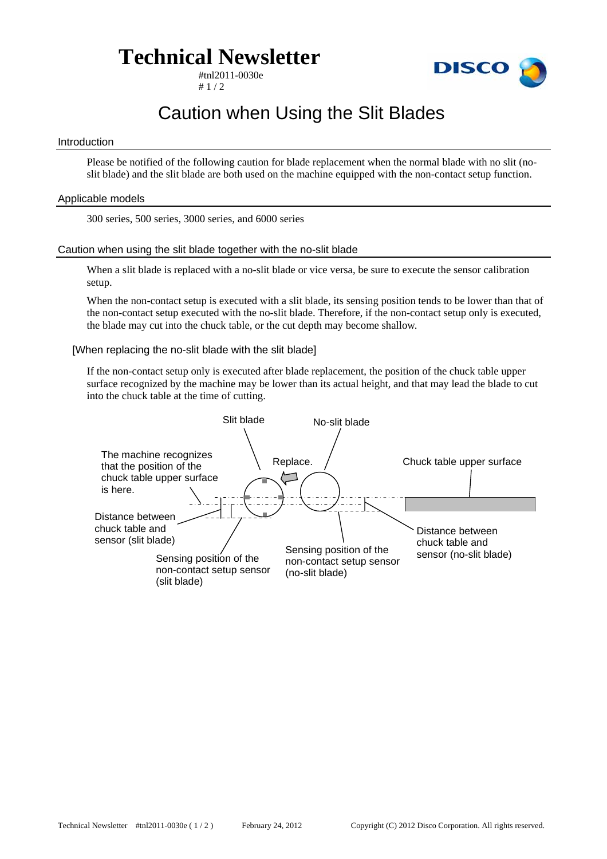# **Technical Newsletter**

#tnl2011-0030e  $# 1 / 2$ 



## Caution when Using the Slit Blades

#### Introduction

Please be notified of the following caution for blade replacement when the normal blade with no slit (noslit blade) and the slit blade are both used on the machine equipped with the non-contact setup function.

### Applicable models

300 series, 500 series, 3000 series, and 6000 series

### Caution when using the slit blade together with the no-slit blade

When a slit blade is replaced with a no-slit blade or vice versa, be sure to execute the sensor calibration setup.

When the non-contact setup is executed with a slit blade, its sensing position tends to be lower than that of the non-contact setup executed with the no-slit blade. Therefore, if the non-contact setup only is executed, the blade may cut into the chuck table, or the cut depth may become shallow.

### [When replacing the no-slit blade with the slit blade]

If the non-contact setup only is executed after blade replacement, the position of the chuck table upper surface recognized by the machine may be lower than its actual height, and that may lead the blade to cut into the chuck table at the time of cutting.